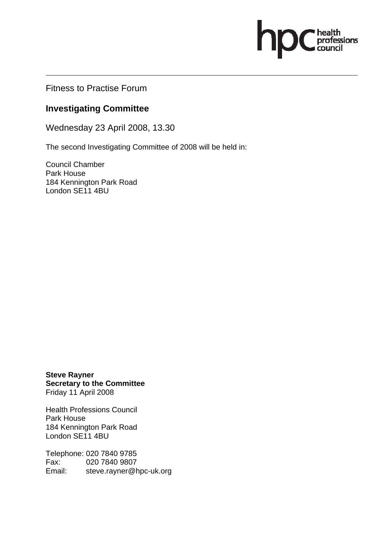Fitness to Practise Forum

## **Investigating Committee**

Wednesday 23 April 2008, 13.30

The second Investigating Committee of 2008 will be held in:

professions

Council Chamber Park House 184 Kennington Park Road London SE11 4BU

**Steve Rayner Secretary to the Committee**  Friday 11 April 2008

Health Professions Council Park House 184 Kennington Park Road London SE11 4BU

Telephone: 020 7840 9785 Fax: 020 7840 9807 Email: steve.rayner@hpc-uk.org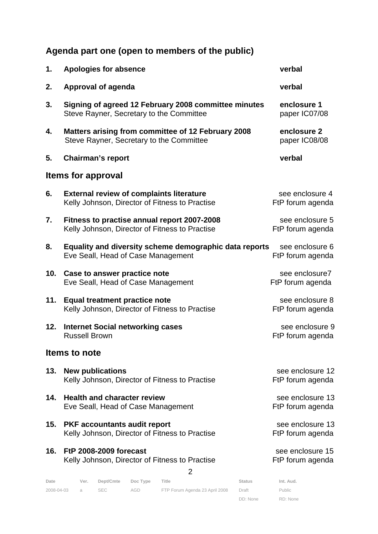## **Agenda part one (open to members of the public)**

| 1.                   | <b>Apologies for absence</b>                                                                      | verbal                               |  |  |  |  |  |
|----------------------|---------------------------------------------------------------------------------------------------|--------------------------------------|--|--|--|--|--|
| 2.                   | Approval of agenda                                                                                | verbal                               |  |  |  |  |  |
| 3.                   | Signing of agreed 12 February 2008 committee minutes<br>Steve Rayner, Secretary to the Committee  | enclosure 1<br>paper IC07/08         |  |  |  |  |  |
| 4.                   | Matters arising from committee of 12 February 2008<br>Steve Rayner, Secretary to the Committee    | enclosure 2<br>paper IC08/08         |  |  |  |  |  |
| 5.                   | <b>Chairman's report</b>                                                                          | verbal                               |  |  |  |  |  |
|                      | <b>Items for approval</b>                                                                         |                                      |  |  |  |  |  |
| 6.                   | <b>External review of complaints literature</b><br>Kelly Johnson, Director of Fitness to Practise | see enclosure 4<br>FtP forum agenda  |  |  |  |  |  |
| 7.                   | Fitness to practise annual report 2007-2008<br>Kelly Johnson, Director of Fitness to Practise     | see enclosure 5<br>FtP forum agenda  |  |  |  |  |  |
| 8.                   | Equality and diversity scheme demographic data reports<br>Eve Seall, Head of Case Management      | see enclosure 6<br>FtP forum agenda  |  |  |  |  |  |
| 10.                  | Case to answer practice note<br>Eve Seall, Head of Case Management                                | see enclosure7<br>FtP forum agenda   |  |  |  |  |  |
| 11.                  | <b>Equal treatment practice note</b><br>Kelly Johnson, Director of Fitness to Practise            | see enclosure 8<br>FtP forum agenda  |  |  |  |  |  |
| 12.                  | <b>Internet Social networking cases</b><br><b>Russell Brown</b>                                   | see enclosure 9<br>FtP forum agenda  |  |  |  |  |  |
| <b>Items to note</b> |                                                                                                   |                                      |  |  |  |  |  |
| 13.                  | <b>New publications</b><br>Kelly Johnson, Director of Fitness to Practise                         | see enclosure 12<br>FtP forum agenda |  |  |  |  |  |
| 14.                  | <b>Health and character review</b><br>Eve Seall, Head of Case Management                          | see enclosure 13<br>FtP forum agenda |  |  |  |  |  |
| 15.                  | <b>PKF accountants audit report</b><br>Kelly Johnson, Director of Fitness to Practise             | see enclosure 13<br>FtP forum agenda |  |  |  |  |  |
| 16.                  | <b>FtP 2008-2009 forecast</b><br>Kelly Johnson, Director of Fitness to Practise<br>2              | see enclosure 15<br>FtP forum agenda |  |  |  |  |  |
| Date                 | Dept/Cmte<br>Doc Type<br>Ver.<br>Title<br><b>Status</b>                                           | Int. Aud.                            |  |  |  |  |  |

2008-04-03 a SEC AGD FTP Forum Agenda 23 April 2008 Draft

DD: None

Public RD: None